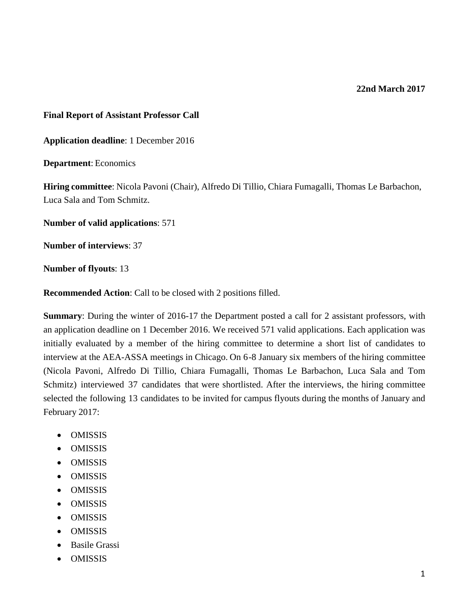#### **22nd March 2017**

#### **Final Report of Assistant Professor Call**

**Application deadline**: 1 December 2016

**Department**: Economics

**Hiring committee**: Nicola Pavoni (Chair), Alfredo Di Tillio, Chiara Fumagalli, Thomas Le Barbachon, Luca Sala and Tom Schmitz.

**Number of valid applications**: 571

**Number of interviews**: 37

**Number of flyouts**: 13

**Recommended Action**: Call to be closed with 2 positions filled.

**Summary**: During the winter of 2016-17 the Department posted a call for 2 assistant professors, with an application deadline on 1 December 2016. We received 571 valid applications. Each application was initially evaluated by a member of the hiring committee to determine a short list of candidates to interview at the AEA-ASSA meetings in Chicago. On 6-8 January six members of the hiring committee (Nicola Pavoni, Alfredo Di Tillio, Chiara Fumagalli, Thomas Le Barbachon, Luca Sala and Tom Schmitz) interviewed 37 candidates that were shortlisted. After the interviews, the hiring committee selected the following 13 candidates to be invited for campus flyouts during the months of January and February 2017:

- OMISSIS
- OMISSIS
- OMISSIS
- OMISSIS
- OMISSIS
- OMISSIS
- OMISSIS
- OMISSIS
- Basile Grassi
- OMISSIS